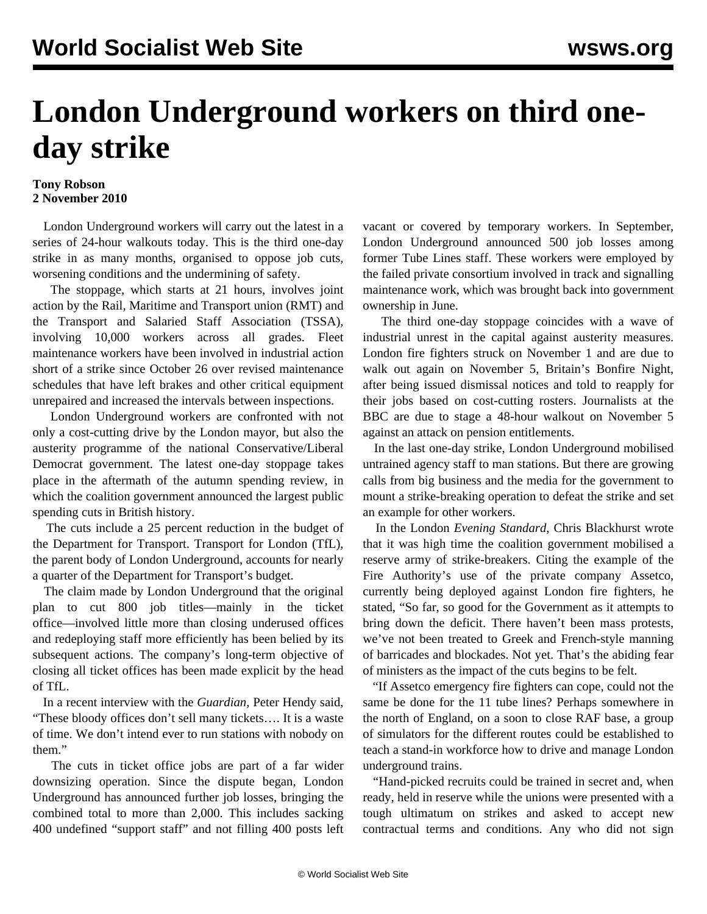## **London Underground workers on third oneday strike**

## **Tony Robson 2 November 2010**

 London Underground workers will carry out the latest in a series of 24-hour walkouts today. This is the third one-day strike in as many months, organised to oppose job cuts, worsening conditions and the undermining of safety.

 The stoppage, which starts at 21 hours, involves joint action by the Rail, Maritime and Transport union (RMT) and the Transport and Salaried Staff Association (TSSA), involving 10,000 workers across all grades. Fleet maintenance workers have been involved in industrial action short of a strike since October 26 over revised maintenance schedules that have left brakes and other critical equipment unrepaired and increased the intervals between inspections.

 London Underground workers are confronted with not only a cost-cutting drive by the London mayor, but also the austerity programme of the national Conservative/Liberal Democrat government. The latest one-day stoppage takes place in the aftermath of the autumn spending review, in which the coalition government announced the largest public spending cuts in British history.

 The cuts include a 25 percent reduction in the budget of the Department for Transport. Transport for London (TfL), the parent body of London Underground, accounts for nearly a quarter of the Department for Transport's budget.

 The claim made by London Underground that the original plan to cut 800 job titles—mainly in the ticket office—involved little more than closing underused offices and redeploying staff more efficiently has been belied by its subsequent actions. The company's long-term objective of closing all ticket offices has been made explicit by the head of TfL.

 In a recent interview with the *Guardian*, Peter Hendy said, "These bloody offices don't sell many tickets…. It is a waste of time. We don't intend ever to run stations with nobody on them."

 The cuts in ticket office jobs are part of a far wider downsizing operation. Since the dispute began, London Underground has announced further job losses, bringing the combined total to more than 2,000. This includes sacking 400 undefined "support staff" and not filling 400 posts left vacant or covered by temporary workers. In September, London Underground announced 500 job losses among former Tube Lines staff. These workers were employed by the failed private consortium involved in track and signalling maintenance work, which was brought back into government ownership in June.

 The third one-day stoppage coincides with a wave of industrial unrest in the capital against austerity measures. London fire fighters struck on November 1 and are due to walk out again on November 5, Britain's Bonfire Night, after being issued dismissal notices and told to reapply for their jobs based on cost-cutting rosters. Journalists at the BBC are due to stage a 48-hour walkout on November 5 against an attack on pension entitlements.

 In the last one-day strike, London Underground mobilised untrained agency staff to man stations. But there are growing calls from big business and the media for the government to mount a strike-breaking operation to defeat the strike and set an example for other workers.

 In the London *Evening Standard*, Chris Blackhurst wrote that it was high time the coalition government mobilised a reserve army of strike-breakers. Citing the example of the Fire Authority's use of the private company Assetco, currently being deployed against London fire fighters, he stated, "So far, so good for the Government as it attempts to bring down the deficit. There haven't been mass protests, we've not been treated to Greek and French-style manning of barricades and blockades. Not yet. That's the abiding fear of ministers as the impact of the cuts begins to be felt.

 "If Assetco emergency fire fighters can cope, could not the same be done for the 11 tube lines? Perhaps somewhere in the north of England, on a soon to close RAF base, a group of simulators for the different routes could be established to teach a stand-in workforce how to drive and manage London underground trains.

 "Hand-picked recruits could be trained in secret and, when ready, held in reserve while the unions were presented with a tough ultimatum on strikes and asked to accept new contractual terms and conditions. Any who did not sign